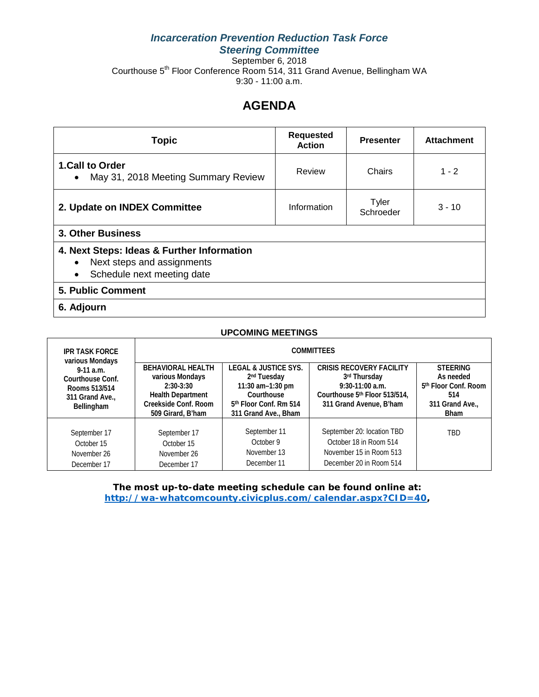# *Incarceration Prevention Reduction Task Force Steering Committee*

September 6, 2018 Courthouse 5<sup>th</sup> Floor Conference Room 514, 311 Grand Avenue, Bellingham WA 9:30 - 11:00 a.m.

# **AGENDA**

| <b>Topic</b>                                                                                                        | <b>Requested</b><br><b>Action</b> | <b>Presenter</b>   | <b>Attachment</b> |  |
|---------------------------------------------------------------------------------------------------------------------|-----------------------------------|--------------------|-------------------|--|
| 1.Call to Order<br>May 31, 2018 Meeting Summary Review<br>$\bullet$                                                 | Review                            | Chairs             | $1 - 2$           |  |
| 2. Update on INDEX Committee                                                                                        | Information                       | Tyler<br>Schroeder | $3 - 10$          |  |
| <b>3. Other Business</b>                                                                                            |                                   |                    |                   |  |
| 4. Next Steps: Ideas & Further Information<br>Next steps and assignments<br>Schedule next meeting date<br>$\bullet$ |                                   |                    |                   |  |
| <b>5. Public Comment</b>                                                                                            |                                   |                    |                   |  |
| 6. Adjourn                                                                                                          |                                   |                    |                   |  |

| <b>UPCOMING MEETINGS</b>                                                                                                     |                                                                                                                                     |                                                                                                                                                            |                                                                                                                                  |                                                                                                           |  |
|------------------------------------------------------------------------------------------------------------------------------|-------------------------------------------------------------------------------------------------------------------------------------|------------------------------------------------------------------------------------------------------------------------------------------------------------|----------------------------------------------------------------------------------------------------------------------------------|-----------------------------------------------------------------------------------------------------------|--|
| <b>IPR TASK FORCE</b><br>various Mondays<br>$9-11$ a.m.<br>Courthouse Conf.<br>Rooms 513/514<br>311 Grand Ave.<br>Bellingham | <b>COMMITTEES</b>                                                                                                                   |                                                                                                                                                            |                                                                                                                                  |                                                                                                           |  |
|                                                                                                                              | <b>BEHAVIORAL HEALTH</b><br>various Mondays<br>$2:30-3:30$<br><b>Health Department</b><br>Creekside Conf. Room<br>509 Girard, B'ham | <b>LEGAL &amp; JUSTICE SYS.</b><br>2 <sup>nd</sup> Tuesday<br>11:30 am-1:30 pm<br>Courthouse<br>5 <sup>th</sup> Floor Conf. Rm 514<br>311 Grand Ave., Bham | <b>CRISIS RECOVERY FACILITY</b><br>3rd Thursday<br>$9:30-11:00$ a.m.<br>Courthouse 5th Floor 513/514.<br>311 Grand Avenue, B'ham | <b>STFFRING</b><br>As needed<br>5 <sup>th</sup> Floor Conf. Room<br>514<br>311 Grand Ave.,<br><b>Bham</b> |  |
| September 17<br>October 15<br>November 26<br>December 17                                                                     | September 17<br>October 15<br>November 26<br>December 17                                                                            | September 11<br>October 9<br>November 13<br>December 11                                                                                                    | September 20: location TBD<br>October 18 in Room 514<br>November 15 in Room 513<br>December 20 in Room 514                       | TBD                                                                                                       |  |

**The most up-to-date meeting schedule can be found online at: [http://wa-whatcomcounty.civicplus.com/calendar.aspx?CID=40,](http://wa-whatcomcounty.civicplus.com/calendar.aspx?CID=40)**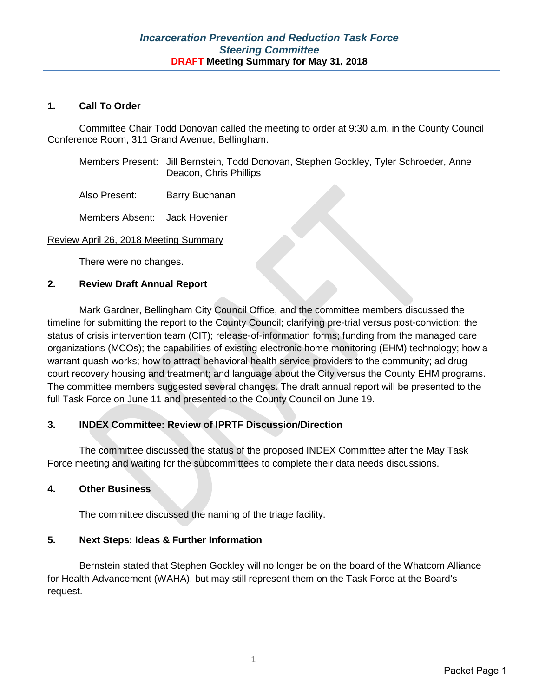## **1. Call To Order**

Committee Chair Todd Donovan called the meeting to order at 9:30 a.m. in the County Council Conference Room, 311 Grand Avenue, Bellingham.

| Members Present: Jill Bernstein, Todd Donovan, Stephen Gockley, Tyler Schroeder, Anne |
|---------------------------------------------------------------------------------------|
| Deacon, Chris Phillips                                                                |

Also Present: Barry Buchanan

Members Absent: Jack Hovenier

#### Review April 26, 2018 Meeting Summary

There were no changes.

#### **2. Review Draft Annual Report**

Mark Gardner, Bellingham City Council Office, and the committee members discussed the timeline for submitting the report to the County Council; clarifying pre-trial versus post-conviction; the status of crisis intervention team (CIT); release-of-information forms; funding from the managed care organizations (MCOs); the capabilities of existing electronic home monitoring (EHM) technology; how a warrant quash works; how to attract behavioral health service providers to the community; ad drug court recovery housing and treatment; and language about the City versus the County EHM programs. The committee members suggested several changes. The draft annual report will be presented to the full Task Force on June 11 and presented to the County Council on June 19.

## **3. INDEX Committee: Review of IPRTF Discussion/Direction**

The committee discussed the status of the proposed INDEX Committee after the May Task Force meeting and waiting for the subcommittees to complete their data needs discussions.

## **4. Other Business**

The committee discussed the naming of the triage facility.

## **5. Next Steps: Ideas & Further Information**

Bernstein stated that Stephen Gockley will no longer be on the board of the Whatcom Alliance for Health Advancement (WAHA), but may still represent them on the Task Force at the Board's request.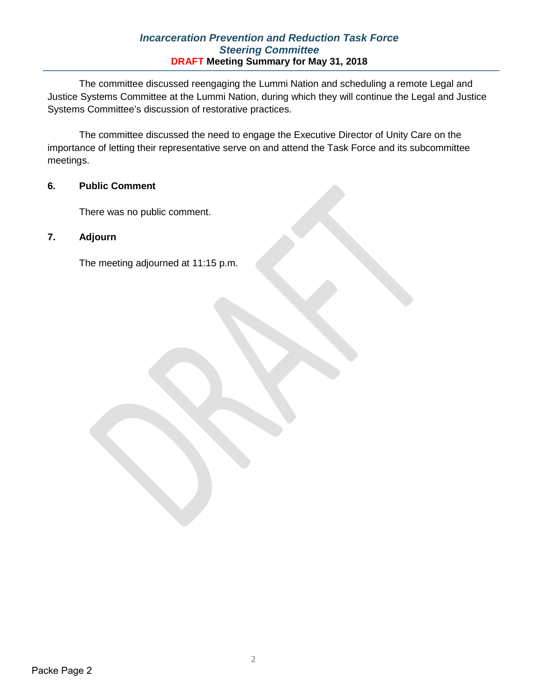## *Incarceration Prevention and Reduction Task Force Steering Committee* **DRAFT Meeting Summary for May 31, 2018**

The committee discussed reengaging the Lummi Nation and scheduling a remote Legal and Justice Systems Committee at the Lummi Nation, during which they will continue the Legal and Justice Systems Committee's discussion of restorative practices.

The committee discussed the need to engage the Executive Director of Unity Care on the importance of letting their representative serve on and attend the Task Force and its subcommittee meetings.

# **6. Public Comment**

There was no public comment.

# **7. Adjourn**

The meeting adjourned at 11:15 p.m.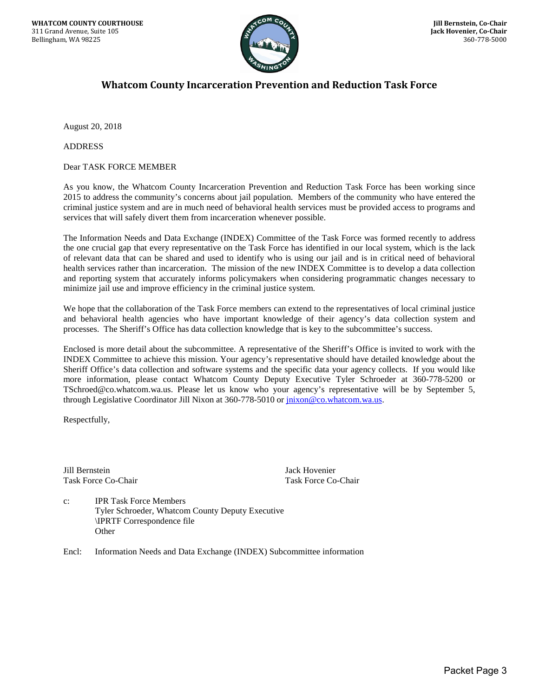

# **Whatcom County Incarceration Prevention and Reduction Task Force**

August 20, 2018

ADDRESS

Dear TASK FORCE MEMBER

As you know, the Whatcom County Incarceration Prevention and Reduction Task Force has been working since 2015 to address the community's concerns about jail population. Members of the community who have entered the criminal justice system and are in much need of behavioral health services must be provided access to programs and services that will safely divert them from incarceration whenever possible.

The Information Needs and Data Exchange (INDEX) Committee of the Task Force was formed recently to address the one crucial gap that every representative on the Task Force has identified in our local system, which is the lack of relevant data that can be shared and used to identify who is using our jail and is in critical need of behavioral health services rather than incarceration. The mission of the new INDEX Committee is to develop a data collection and reporting system that accurately informs policymakers when considering programmatic changes necessary to minimize jail use and improve efficiency in the criminal justice system.

We hope that the collaboration of the Task Force members can extend to the representatives of local criminal justice and behavioral health agencies who have important knowledge of their agency's data collection system and processes. The Sheriff's Office has data collection knowledge that is key to the subcommittee's success.

Enclosed is more detail about the subcommittee. A representative of the Sheriff's Office is invited to work with the INDEX Committee to achieve this mission. Your agency's representative should have detailed knowledge about the Sheriff Office's data collection and software systems and the specific data your agency collects. If you would like more information, please contact Whatcom County Deputy Executive Tyler Schroeder at 360-778-5200 or TSchroed@co.whatcom.wa.us. Please let us know who your agency's representative will be by September 5, through Legislative Coordinator Jill Nixon at 360-778-5010 or  $\frac{inv\omega_0\omega_0}{inv\omega_0\omega_0}$  whatcom.wa.us.

Respectfully,

Jill Bernstein Jack Hovenier Task Force Co-Chair Task Force Co-Chair

c: IPR Task Force Members Tyler Schroeder, Whatcom County Deputy Executive \IPRTF Correspondence file **Other** 

Encl: Information Needs and Data Exchange (INDEX) Subcommittee information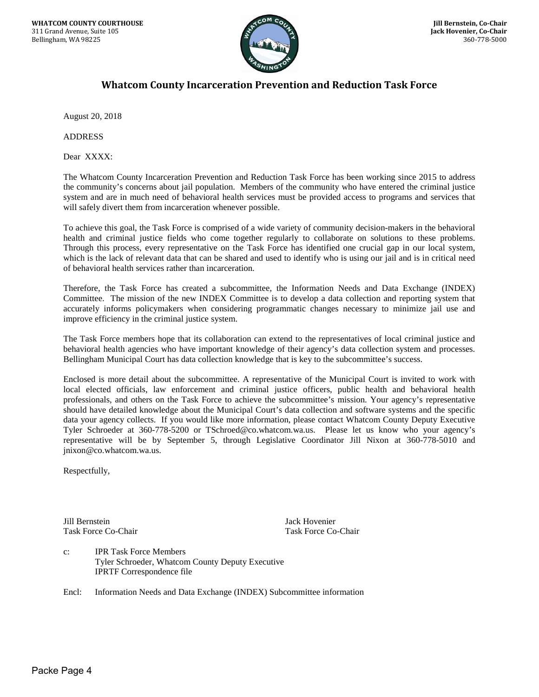

# **Whatcom County Incarceration Prevention and Reduction Task Force**

August 20, 2018

ADDRESS

Dear XXXX:

The Whatcom County Incarceration Prevention and Reduction Task Force has been working since 2015 to address the community's concerns about jail population. Members of the community who have entered the criminal justice system and are in much need of behavioral health services must be provided access to programs and services that will safely divert them from incarceration whenever possible.

To achieve this goal, the Task Force is comprised of a wide variety of community decision-makers in the behavioral health and criminal justice fields who come together regularly to collaborate on solutions to these problems. Through this process, every representative on the Task Force has identified one crucial gap in our local system, which is the lack of relevant data that can be shared and used to identify who is using our jail and is in critical need of behavioral health services rather than incarceration.

Therefore, the Task Force has created a subcommittee, the Information Needs and Data Exchange (INDEX) Committee. The mission of the new INDEX Committee is to develop a data collection and reporting system that accurately informs policymakers when considering programmatic changes necessary to minimize jail use and improve efficiency in the criminal justice system.

The Task Force members hope that its collaboration can extend to the representatives of local criminal justice and behavioral health agencies who have important knowledge of their agency's data collection system and processes. Bellingham Municipal Court has data collection knowledge that is key to the subcommittee's success.

Enclosed is more detail about the subcommittee. A representative of the Municipal Court is invited to work with local elected officials, law enforcement and criminal justice officers, public health and behavioral health professionals, and others on the Task Force to achieve the subcommittee's mission. Your agency's representative should have detailed knowledge about the Municipal Court's data collection and software systems and the specific data your agency collects. If you would like more information, please contact Whatcom County Deputy Executive Tyler Schroeder at 360-778-5200 or TSchroed@co.whatcom.wa.us. Please let us know who your agency's representative will be by September 5, through Legislative Coordinator Jill Nixon at 360-778-5010 and jnixon@co.whatcom.wa.us.

Respectfully,

Jill Bernstein Jack Hovenier Task Force Co-Chair Task Force Co-Chair

c: IPR Task Force Members Tyler Schroeder, Whatcom County Deputy Executive IPRTF Correspondence file

Encl: Information Needs and Data Exchange (INDEX) Subcommittee information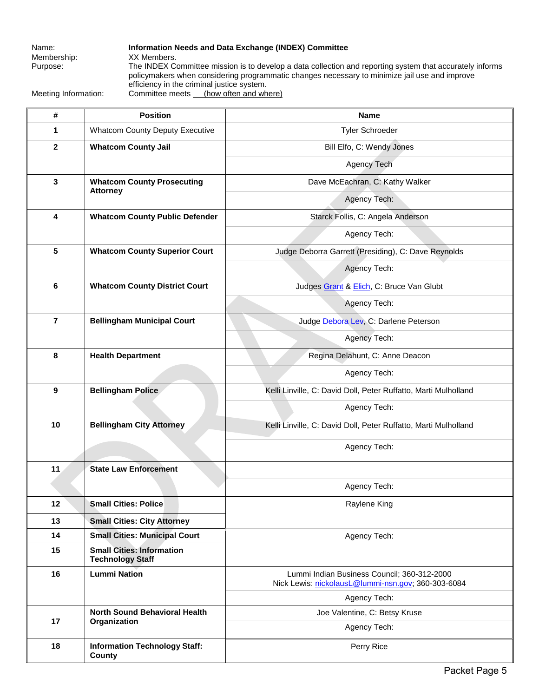Membership:

Name: **Information Needs and Data Exchange (INDEX) Committee**<br>Membership: **XX Members**. Purpose: The INDEX Committee mission is to develop a data collection and reporting system that accurately informs policymakers when considering programmatic changes necessary to minimize jail use and improve efficiency in the criminal justice system. Meeting Information: Committee meets (how often and where)

**# Position Name 1** Whatcom County Deputy Executive **Tyler Schroeder** Tyler Schroeder **2 Whatcom County Jail Bill Elfo, C: Wendy Jones** Agency Tech **3 Whatcom County Prosecuting Attorney**  Dave McEachran, C: Kathy Walker Agency Tech: **4 Whatcom County Public Defender COULD Starck Follis, C: Angela Anderson** Agency Tech: **5 Whatcom County Superior Court and Superior Court** Judge Deborra Garrett (Presiding), C: Dave Reynolds Agency Tech: **6 Whatcom County District Court Count Judges [Grant](mailto:DGrant@co.whatcom.wa.us) & [Elich,](mailto:MElich@co.whatcom.wa.us) C: Bruce Van Glubt** Agency Tech: **7 Bellingham Municipal Court Judg[e Debora Lev,](mailto:DLev@cob.org) C: Darlene Peterson** Agency Tech: **8 Health Department** Regina Delahunt, C: Anne Deacon Agency Tech: **9 Bellingham Police Research College Ruffatto, Marti Mulholland Research Police Ruffatto, Marti Mulholland** Agency Tech: **10 Bellingham City Attorney** Kelli Linville, C: David Doll, Peter Ruffatto, Marti Mulholland Agency Tech: **11 State Law Enforcement**  Agency Tech: **12 Small Cities: Police Raylene King** Raylene King **13 Small Cities: City Attorney 14 Small Cities: Municipal Court Agency Tech:** Agency Tech: **15 Small Cities: Information Technology Staff 16 Lummi Nation** Lummi Indian Business Council; 360-312-2000 Nick Lewis: [nickolausL@lummi-nsn.gov;](mailto:nickolausL@lummi-nsn.gov) 360-303-6084 Agency Tech: **17 North Sound Behavioral Health Organization**  Joe Valentine, C: Betsy Kruse Agency Tech: **18 Information Technology Staff: County** Perry Rice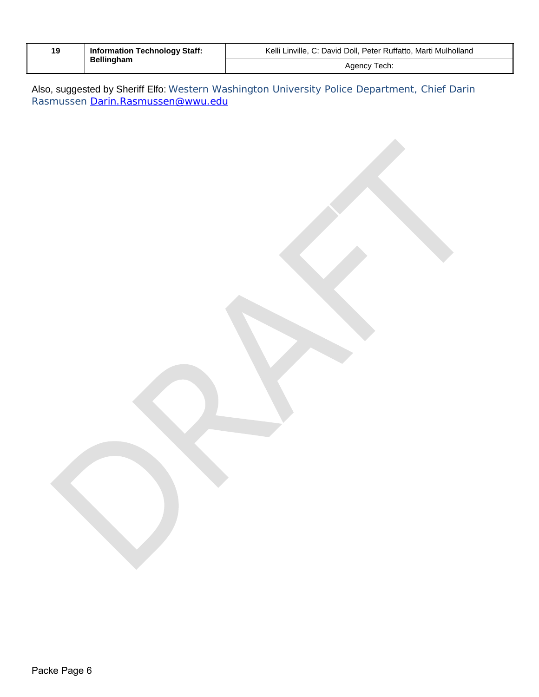|                   | <b>Information Technology Staff:</b> | Kelli Linville, C: David Doll, Peter Ruffatto, Marti Mulholland |  |
|-------------------|--------------------------------------|-----------------------------------------------------------------|--|
| <b>Bellingham</b> | Agency Tech:                         |                                                                 |  |

Also, suggested by Sheriff Elfo: Western Washington University Police Department, Chief Darin Rasmussen <u>Darin.Rasmussen@wwu.edu</u>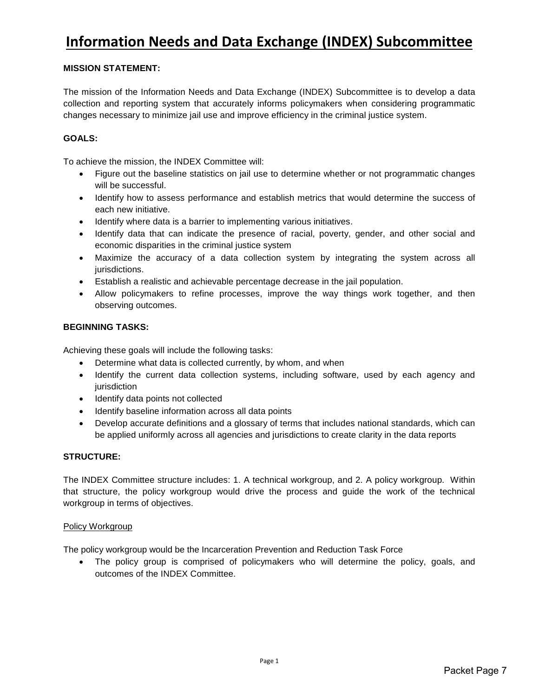# **Information Needs and Data Exchange (INDEX) Subcommittee**

#### **MISSION STATEMENT:**

The mission of the Information Needs and Data Exchange (INDEX) Subcommittee is to develop a data collection and reporting system that accurately informs policymakers when considering programmatic changes necessary to minimize jail use and improve efficiency in the criminal justice system.

#### **GOALS:**

To achieve the mission, the INDEX Committee will:

- Figure out the baseline statistics on jail use to determine whether or not programmatic changes will be successful.
- Identify how to assess performance and establish metrics that would determine the success of each new initiative.
- Identify where data is a barrier to implementing various initiatives.
- Identify data that can indicate the presence of racial, poverty, gender, and other social and economic disparities in the criminal justice system
- Maximize the accuracy of a data collection system by integrating the system across all jurisdictions.
- Establish a realistic and achievable percentage decrease in the jail population.
- Allow policymakers to refine processes, improve the way things work together, and then observing outcomes.

#### **BEGINNING TASKS:**

Achieving these goals will include the following tasks:

- Determine what data is collected currently, by whom, and when
- Identify the current data collection systems, including software, used by each agency and jurisdiction
- Identify data points not collected
- Identify baseline information across all data points
- Develop accurate definitions and a glossary of terms that includes national standards, which can be applied uniformly across all agencies and jurisdictions to create clarity in the data reports

#### **STRUCTURE:**

The INDEX Committee structure includes: 1. A technical workgroup, and 2. A policy workgroup. Within that structure, the policy workgroup would drive the process and guide the work of the technical workgroup in terms of objectives.

#### Policy Workgroup

The policy workgroup would be the Incarceration Prevention and Reduction Task Force

• The policy group is comprised of policymakers who will determine the policy, goals, and outcomes of the INDEX Committee.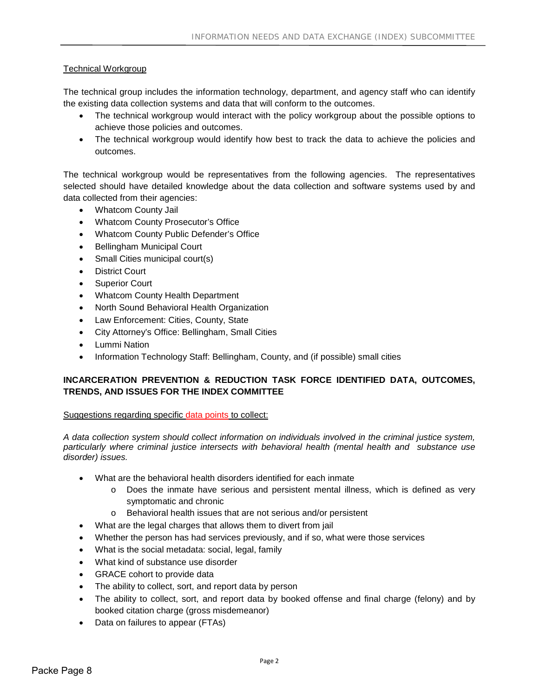## Technical Workgroup

The technical group includes the information technology, department, and agency staff who can identify the existing data collection systems and data that will conform to the outcomes.

- The technical workgroup would interact with the policy workgroup about the possible options to achieve those policies and outcomes.
- The technical workgroup would identify how best to track the data to achieve the policies and outcomes.

The technical workgroup would be representatives from the following agencies. The representatives selected should have detailed knowledge about the data collection and software systems used by and data collected from their agencies:

- Whatcom County Jail
- Whatcom County Prosecutor's Office
- Whatcom County Public Defender's Office
- Bellingham Municipal Court
- Small Cities municipal court(s)
- District Court
- Superior Court
- Whatcom County Health Department
- North Sound Behavioral Health Organization
- Law Enforcement: Cities, County, State
- City Attorney's Office: Bellingham, Small Cities
- Lummi Nation
- Information Technology Staff: Bellingham, County, and (if possible) small cities

## **INCARCERATION PREVENTION & REDUCTION TASK FORCE IDENTIFIED DATA, OUTCOMES, TRENDS, AND ISSUES FOR THE INDEX COMMITTEE**

#### Suggestions regarding specific data points to collect:

*A data collection system should collect information on individuals involved in the criminal justice system, particularly where criminal justice intersects with behavioral health (mental health and substance use disorder) issues.*

- What are the behavioral health disorders identified for each inmate
	- o Does the inmate have serious and persistent mental illness, which is defined as very symptomatic and chronic
	- o Behavioral health issues that are not serious and/or persistent
- What are the legal charges that allows them to divert from jail
- Whether the person has had services previously, and if so, what were those services
- What is the social metadata: social, legal, family
- What kind of substance use disorder
- GRACE cohort to provide data
- The ability to collect, sort, and report data by person
- The ability to collect, sort, and report data by booked offense and final charge (felony) and by booked citation charge (gross misdemeanor)
- Data on failures to appear (FTAs)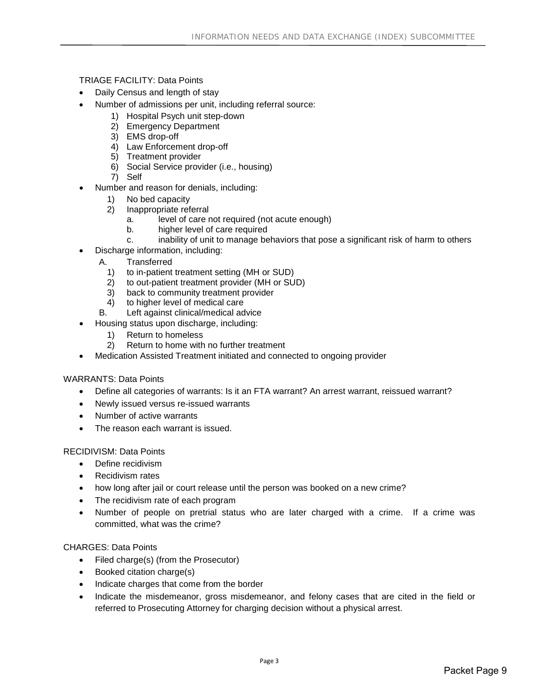#### TRIAGE FACILITY: Data Points

- Daily Census and length of stay
- Number of admissions per unit, including referral source:
	- 1) Hospital Psych unit step-down
	- 2) Emergency Department
	- 3) EMS drop-off
	- 4) Law Enforcement drop-off
	- 5) Treatment provider
	- 6) Social Service provider (i.e., housing)
	- 7) Self
- Number and reason for denials, including:
	- 1) No bed capacity<br>2) Inappropriate ref
	- 2) Inappropriate referral
		- a. level of care not required (not acute enough)
		- b. higher level of care required
		- c. inability of unit to manage behaviors that pose a significant risk of harm to others
- Discharge information, including:
	- A. Transferred<br>1) to in-patient
		- 1) to in-patient treatment setting (MH or SUD)<br>2) to out-patient treatment provider (MH or SU
		- 2) to out-patient treatment provider (MH or SUD)<br>3) back to community treatment provider
		- 3) back to community treatment provider<br>4) to higher level of medical care
		- to higher level of medical care
	- B. Left against clinical/medical advice
- Housing status upon discharge, including:
	- 1) Return to homeless
	- 2) Return to home with no further treatment
- Medication Assisted Treatment initiated and connected to ongoing provider

#### WARRANTS: Data Points

- Define all categories of warrants: Is it an FTA warrant? An arrest warrant, reissued warrant?
- Newly issued versus re-issued warrants
- Number of active warrants
- The reason each warrant is issued.

#### RECIDIVISM: Data Points

- Define recidivism
- Recidivism rates
- how long after jail or court release until the person was booked on a new crime?
- The recidivism rate of each program
- Number of people on pretrial status who are later charged with a crime. If a crime was committed, what was the crime?

#### CHARGES: Data Points

- Filed charge(s) (from the Prosecutor)
- Booked citation charge(s)
- Indicate charges that come from the border
- Indicate the misdemeanor, gross misdemeanor, and felony cases that are cited in the field or referred to Prosecuting Attorney for charging decision without a physical arrest.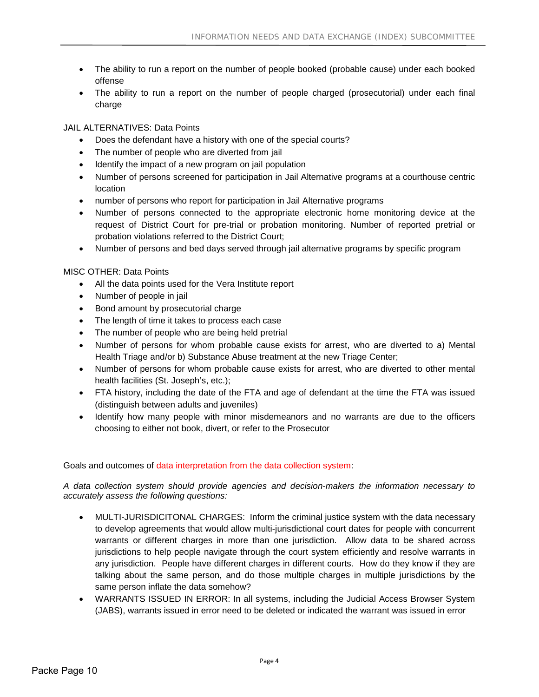- The ability to run a report on the number of people booked (probable cause) under each booked offense
- The ability to run a report on the number of people charged (prosecutorial) under each final charge

JAIL ALTERNATIVES: Data Points

- Does the defendant have a history with one of the special courts?
- The number of people who are diverted from jail
- Identify the impact of a new program on jail population
- Number of persons screened for participation in Jail Alternative programs at a courthouse centric location
- number of persons who report for participation in Jail Alternative programs
- Number of persons connected to the appropriate electronic home monitoring device at the request of District Court for pre-trial or probation monitoring. Number of reported pretrial or probation violations referred to the District Court;
- Number of persons and bed days served through jail alternative programs by specific program

MISC OTHER: Data Points

- All the data points used for the Vera Institute report
- Number of people in jail
- Bond amount by prosecutorial charge
- The length of time it takes to process each case
- The number of people who are being held pretrial
- Number of persons for whom probable cause exists for arrest, who are diverted to a) Mental Health Triage and/or b) Substance Abuse treatment at the new Triage Center;
- Number of persons for whom probable cause exists for arrest, who are diverted to other mental health facilities (St. Joseph's, etc.);
- FTA history, including the date of the FTA and age of defendant at the time the FTA was issued (distinguish between adults and juveniles)
- Identify how many people with minor misdemeanors and no warrants are due to the officers choosing to either not book, divert, or refer to the Prosecutor

#### Goals and outcomes of data interpretation from the data collection system:

*A data collection system should provide agencies and decision-makers the information necessary to accurately assess the following questions:*

- MULTI-JURISDICITONAL CHARGES: Inform the criminal justice system with the data necessary to develop agreements that would allow multi-jurisdictional court dates for people with concurrent warrants or different charges in more than one jurisdiction. Allow data to be shared across jurisdictions to help people navigate through the court system efficiently and resolve warrants in any jurisdiction. People have different charges in different courts. How do they know if they are talking about the same person, and do those multiple charges in multiple jurisdictions by the same person inflate the data somehow?
- WARRANTS ISSUED IN ERROR: In all systems, including the Judicial Access Browser System (JABS), warrants issued in error need to be deleted or indicated the warrant was issued in error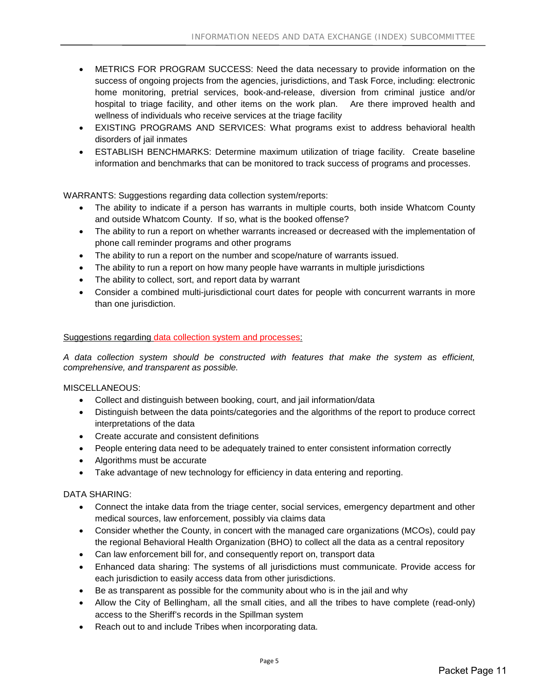- METRICS FOR PROGRAM SUCCESS: Need the data necessary to provide information on the success of ongoing projects from the agencies, jurisdictions, and Task Force, including: electronic home monitoring, pretrial services, book-and-release, diversion from criminal justice and/or hospital to triage facility, and other items on the work plan. Are there improved health and wellness of individuals who receive services at the triage facility
- EXISTING PROGRAMS AND SERVICES: What programs exist to address behavioral health disorders of jail inmates
- ESTABLISH BENCHMARKS: Determine maximum utilization of triage facility. Create baseline information and benchmarks that can be monitored to track success of programs and processes.

WARRANTS: Suggestions regarding data collection system/reports:

- The ability to indicate if a person has warrants in multiple courts, both inside Whatcom County and outside Whatcom County. If so, what is the booked offense?
- The ability to run a report on whether warrants increased or decreased with the implementation of phone call reminder programs and other programs
- The ability to run a report on the number and scope/nature of warrants issued.
- The ability to run a report on how many people have warrants in multiple jurisdictions
- The ability to collect, sort, and report data by warrant
- Consider a combined multi-jurisdictional court dates for people with concurrent warrants in more than one jurisdiction.

#### Suggestions regarding data collection system and processes:

*A data collection system should be constructed with features that make the system as efficient, comprehensive, and transparent as possible.*

MISCELLANEOUS:

- Collect and distinguish between booking, court, and jail information/data
- Distinguish between the data points/categories and the algorithms of the report to produce correct interpretations of the data
- Create accurate and consistent definitions
- People entering data need to be adequately trained to enter consistent information correctly
- Algorithms must be accurate
- Take advantage of new technology for efficiency in data entering and reporting.

#### DATA SHARING:

- Connect the intake data from the triage center, social services, emergency department and other medical sources, law enforcement, possibly via claims data
- Consider whether the County, in concert with the managed care organizations (MCOs), could pay the regional Behavioral Health Organization (BHO) to collect all the data as a central repository
- Can law enforcement bill for, and consequently report on, transport data
- Enhanced data sharing: The systems of all jurisdictions must communicate. Provide access for each jurisdiction to easily access data from other jurisdictions.
- Be as transparent as possible for the community about who is in the jail and why
- Allow the City of Bellingham, all the small cities, and all the tribes to have complete (read-only) access to the Sheriff's records in the Spillman system
- Reach out to and include Tribes when incorporating data.